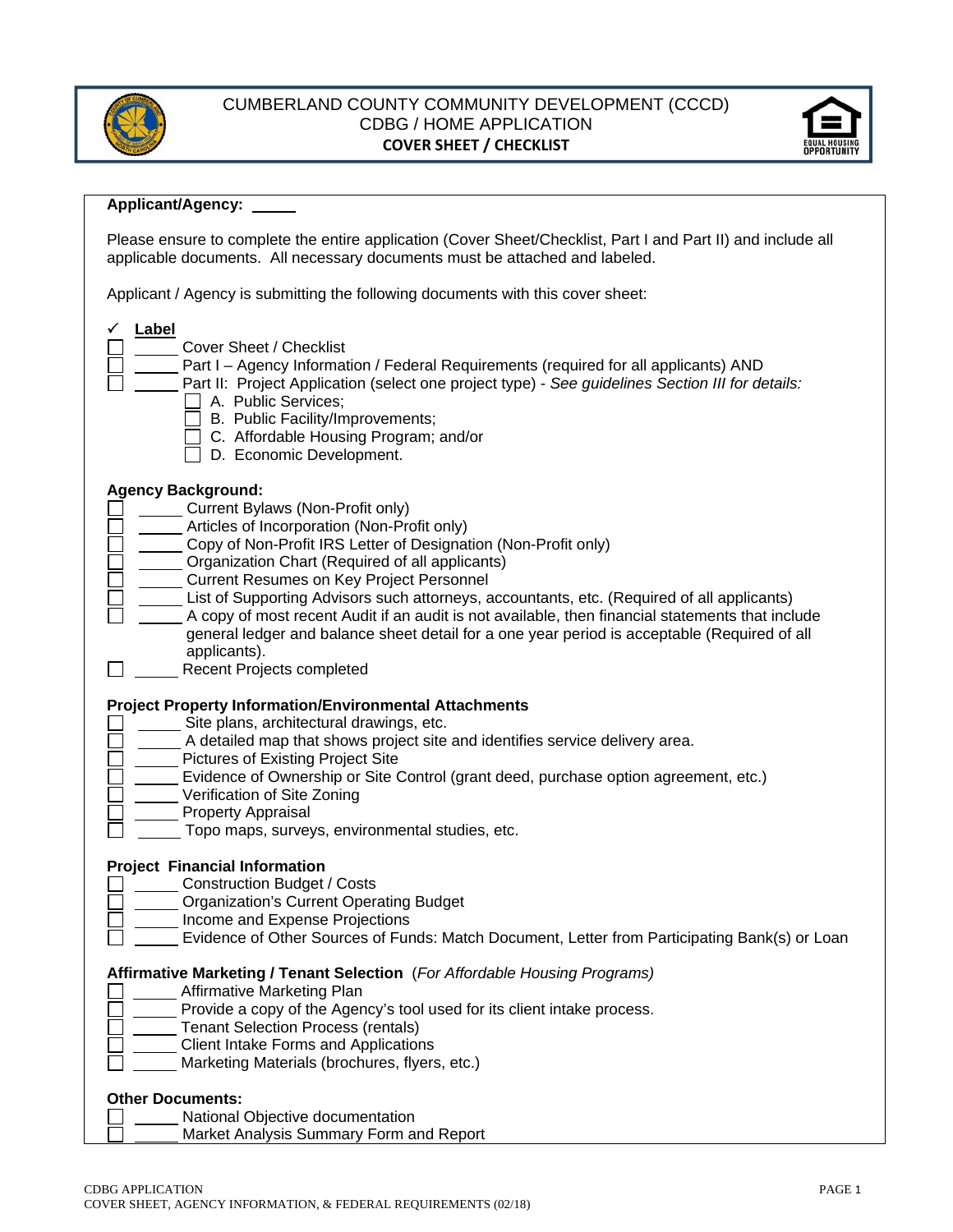

## CUMBERLAND COUNTY COMMUNITY DEVELOPMENT (CCCD) CDBG / HOME APPLICATION **COVER SHEET / CHECKLIST**



### **Applicant/Agency:**

Please ensure to complete the entire application (Cover Sheet/Checklist, Part I and Part II) and include all applicable documents. All necessary documents must be attached and labeled.

Applicant / Agency is submitting the following documents with this cover sheet:

| Label<br>Cover Sheet / Checklist<br>Part I - Agency Information / Federal Requirements (required for all applicants) AND<br>Part II: Project Application (select one project type) - See guidelines Section III for details:<br>A. Public Services:<br>B. Public Facility/Improvements;<br>C. Affordable Housing Program; and/or<br>D. Economic Development.                                                                                                                                                                                                                                                                 |
|------------------------------------------------------------------------------------------------------------------------------------------------------------------------------------------------------------------------------------------------------------------------------------------------------------------------------------------------------------------------------------------------------------------------------------------------------------------------------------------------------------------------------------------------------------------------------------------------------------------------------|
| <b>Agency Background:</b><br>Current Bylaws (Non-Profit only)<br>Articles of Incorporation (Non-Profit only)<br>Copy of Non-Profit IRS Letter of Designation (Non-Profit only)<br>Organization Chart (Required of all applicants)<br>Current Resumes on Key Project Personnel<br>List of Supporting Advisors such attorneys, accountants, etc. (Required of all applicants)<br>A copy of most recent Audit if an audit is not available, then financial statements that include<br>general ledger and balance sheet detail for a one year period is acceptable (Required of all<br>applicants).<br>Recent Projects completed |
| <b>Project Property Information/Environmental Attachments</b><br>Site plans, architectural drawings, etc.<br>A detailed map that shows project site and identifies service delivery area.<br>Pictures of Existing Project Site<br>Evidence of Ownership or Site Control (grant deed, purchase option agreement, etc.)<br>Verification of Site Zoning<br>Property Appraisal<br>Topo maps, surveys, environmental studies, etc.                                                                                                                                                                                                |
| <b>Project Financial Information</b><br><b>Construction Budget / Costs</b><br><b>Organization's Current Operating Budget</b><br>Income and Expense Projections<br>Evidence of Other Sources of Funds: Match Document, Letter from Participating Bank(s) or Loan                                                                                                                                                                                                                                                                                                                                                              |
| Affirmative Marketing / Tenant Selection (For Affordable Housing Programs)<br>Affirmative Marketing Plan<br>Provide a copy of the Agency's tool used for its client intake process.<br><b>Tenant Selection Process (rentals)</b><br><b>Client Intake Forms and Applications</b><br>Marketing Materials (brochures, flyers, etc.)                                                                                                                                                                                                                                                                                             |
| <b>Other Documents:</b><br>National Objective documentation<br>Market Analysis Summary Form and Report                                                                                                                                                                                                                                                                                                                                                                                                                                                                                                                       |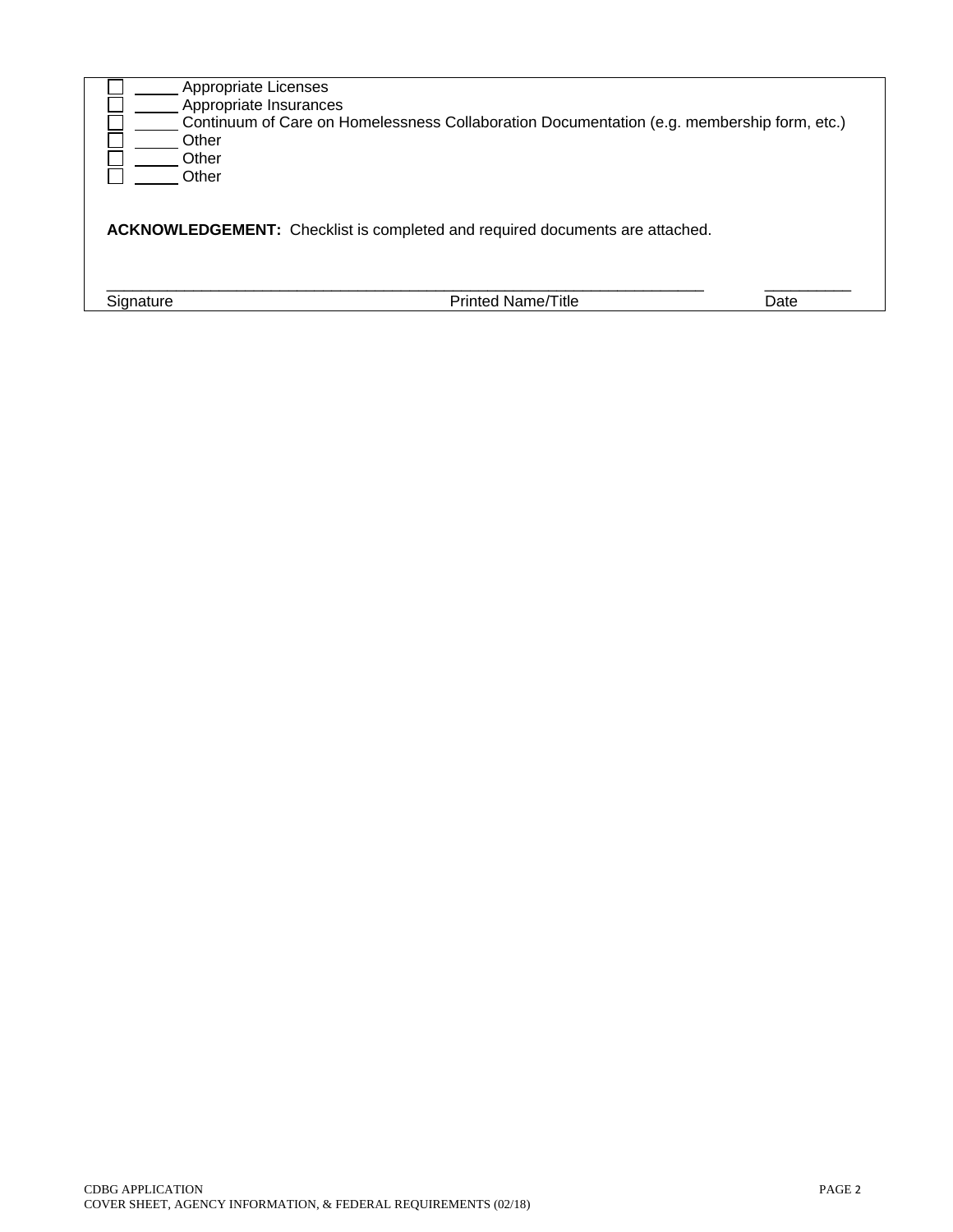| Appropriate Licenses   |                                                                                            |      |
|------------------------|--------------------------------------------------------------------------------------------|------|
| Appropriate Insurances |                                                                                            |      |
| Other                  | Continuum of Care on Homelessness Collaboration Documentation (e.g. membership form, etc.) |      |
| Other                  |                                                                                            |      |
| Other                  |                                                                                            |      |
|                        | <b>ACKNOWLEDGEMENT:</b> Checklist is completed and required documents are attached.        |      |
| Signature              | <b>Printed Name/Title</b>                                                                  | Date |
|                        |                                                                                            |      |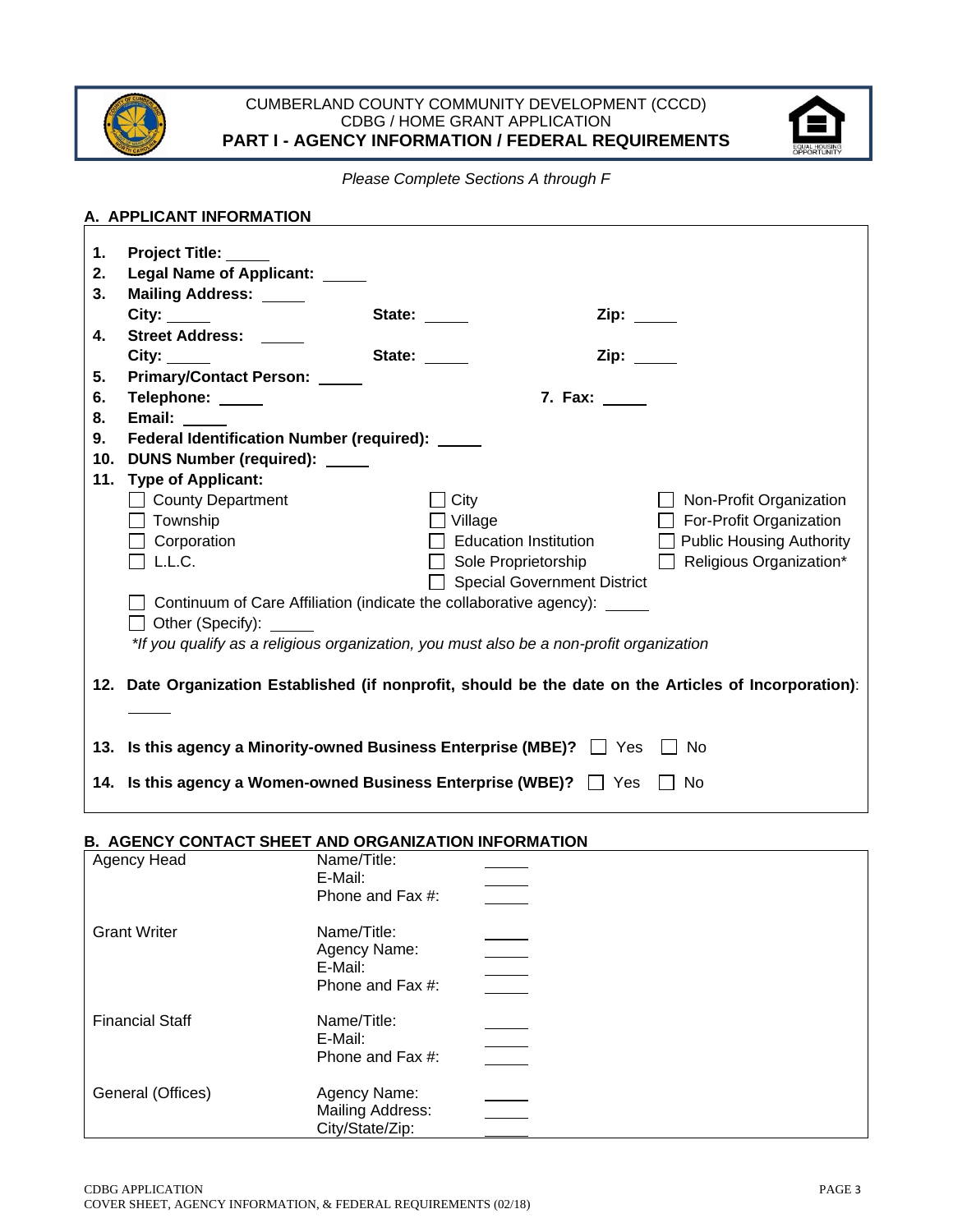

### CUMBERLAND COUNTY COMMUNITY DEVELOPMENT (CCCD) CDBG / HOME GRANT APPLICATION **PART I - AGENCY INFORMATION / FEDERAL REQUIREMENTS**



*Please Complete Sections A through F* 

|    | A. APPLICANT INFORMATION                                                                               |                |                                                                                                                |                                |  |  |
|----|--------------------------------------------------------------------------------------------------------|----------------|----------------------------------------------------------------------------------------------------------------|--------------------------------|--|--|
| 1. | <b>Project Title:</b>                                                                                  |                |                                                                                                                |                                |  |  |
| 2. | Legal Name of Applicant: ____                                                                          |                |                                                                                                                |                                |  |  |
| 3. | <b>Mailing Address:</b>                                                                                |                |                                                                                                                |                                |  |  |
|    |                                                                                                        | State: _____   | Zip: The Solid State State State State State State State State State State State State State State State State |                                |  |  |
| 4. | Street Address: _____                                                                                  |                |                                                                                                                |                                |  |  |
|    | City:                                                                                                  | State:         | Zip:                                                                                                           |                                |  |  |
| 5. | Primary/Contact Person: _____                                                                          |                |                                                                                                                |                                |  |  |
| 6. | Telephone: _____                                                                                       |                | 7. Fax: _____                                                                                                  |                                |  |  |
| 8. | Email:                                                                                                 |                |                                                                                                                |                                |  |  |
| 9. | Federal Identification Number (required): ____                                                         |                |                                                                                                                |                                |  |  |
|    | 10. DUNS Number (required): _____                                                                      |                |                                                                                                                |                                |  |  |
|    | 11. Type of Applicant:                                                                                 |                |                                                                                                                |                                |  |  |
|    | County Department                                                                                      | $\Box$ City    |                                                                                                                | Non-Profit Organization        |  |  |
|    | $\Box$ Township                                                                                        | $\Box$ Village |                                                                                                                | $\Box$ For-Profit Organization |  |  |
|    | $\Box$ Corporation                                                                                     |                | Education Institution                                                                                          | Public Housing Authority       |  |  |
|    | $\Box$ L.L.C.                                                                                          |                | $\Box$ Sole Proprietorship                                                                                     | $\Box$ Religious Organization* |  |  |
|    | Special Government District                                                                            |                |                                                                                                                |                                |  |  |
|    | Continuum of Care Affiliation (indicate the collaborative agency): _____                               |                |                                                                                                                |                                |  |  |
|    | Other (Specify):                                                                                       |                |                                                                                                                |                                |  |  |
|    | *If you qualify as a religious organization, you must also be a non-profit organization                |                |                                                                                                                |                                |  |  |
|    |                                                                                                        |                |                                                                                                                |                                |  |  |
|    | 12. Date Organization Established (if nonprofit, should be the date on the Articles of Incorporation): |                |                                                                                                                |                                |  |  |
|    |                                                                                                        |                |                                                                                                                |                                |  |  |
|    |                                                                                                        |                |                                                                                                                |                                |  |  |
|    | 13. Is this agency a Minority-owned Business Enterprise (MBE)? $\Box$ Yes                              |                |                                                                                                                | No                             |  |  |
|    | 14. Is this agency a Women-owned Business Enterprise (WBE)?   Yes                                      |                |                                                                                                                | -No                            |  |  |

## **B. AGENCY CONTACT SHEET AND ORGANIZATION INFORMATION**

| Agency Head            | Name/Title:<br>E-Mail:<br>Phone and Fax #:                 |  |
|------------------------|------------------------------------------------------------|--|
| <b>Grant Writer</b>    | Name/Title:<br>Agency Name:                                |  |
|                        | E-Mail:<br>Phone and Fax #:                                |  |
| <b>Financial Staff</b> | Name/Title:<br>E-Mail:<br>Phone and Fax #:                 |  |
| General (Offices)      | Agency Name:<br><b>Mailing Address:</b><br>City/State/Zip: |  |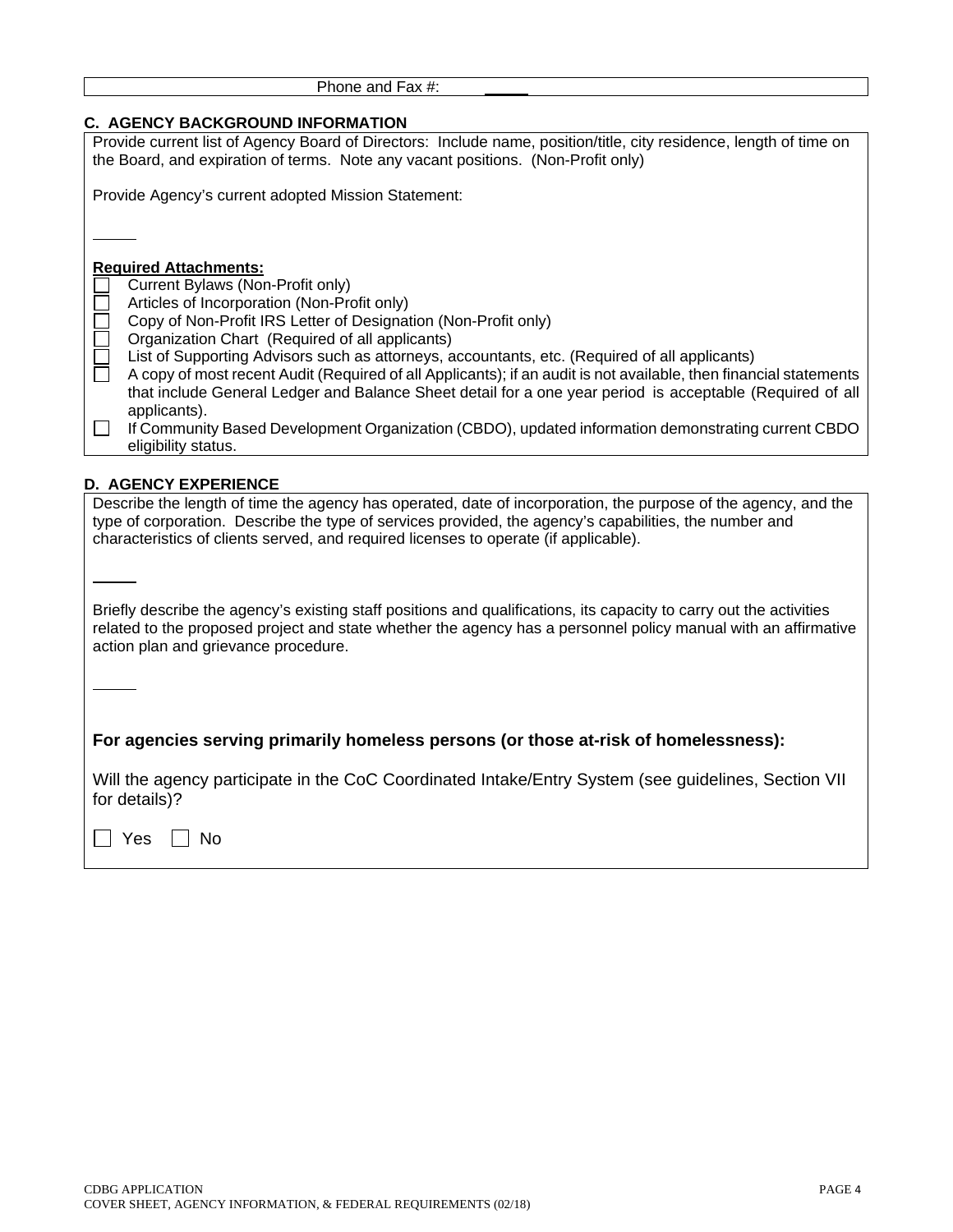| Phone and Fax #: |
|------------------|
|                  |

# **C. AGENCY BACKGROUND INFORMATION**

| <b>C. AGENCY BACKGROUND INFORMATION</b>                                                                                                                                                                                        |
|--------------------------------------------------------------------------------------------------------------------------------------------------------------------------------------------------------------------------------|
| Provide current list of Agency Board of Directors: Include name, position/title, city residence, length of time on<br>the Board, and expiration of terms. Note any vacant positions. (Non-Profit only)                         |
|                                                                                                                                                                                                                                |
| Provide Agency's current adopted Mission Statement:                                                                                                                                                                            |
|                                                                                                                                                                                                                                |
|                                                                                                                                                                                                                                |
| <b>Required Attachments:</b>                                                                                                                                                                                                   |
| Current Bylaws (Non-Profit only)                                                                                                                                                                                               |
| Articles of Incorporation (Non-Profit only)                                                                                                                                                                                    |
| Copy of Non-Profit IRS Letter of Designation (Non-Profit only)                                                                                                                                                                 |
| Organization Chart (Required of all applicants)                                                                                                                                                                                |
| List of Supporting Advisors such as attorneys, accountants, etc. (Required of all applicants)                                                                                                                                  |
| A copy of most recent Audit (Required of all Applicants); if an audit is not available, then financial statements<br>that include General Ledger and Balance Sheet detail for a one year period is acceptable (Required of all |
| applicants).                                                                                                                                                                                                                   |
| If Community Based Development Organization (CBDO), updated information demonstrating current CBDO                                                                                                                             |
| eligibility status.                                                                                                                                                                                                            |
|                                                                                                                                                                                                                                |
| <b>D. AGENCY EXPERIENCE</b>                                                                                                                                                                                                    |
| Describe the length of time the agency has operated, date of incorporation, the purpose of the agency, and the                                                                                                                 |
| type of corporation. Describe the type of services provided, the agency's capabilities, the number and<br>characteristics of clients served, and required licenses to operate (if applicable).                                 |
|                                                                                                                                                                                                                                |
|                                                                                                                                                                                                                                |
|                                                                                                                                                                                                                                |
| Briefly describe the agency's existing staff positions and qualifications, its capacity to carry out the activities                                                                                                            |
| related to the proposed project and state whether the agency has a personnel policy manual with an affirmative                                                                                                                 |
| action plan and grievance procedure.                                                                                                                                                                                           |
|                                                                                                                                                                                                                                |
|                                                                                                                                                                                                                                |
|                                                                                                                                                                                                                                |
| For agencies serving primarily homeless persons (or those at-risk of homelessness):                                                                                                                                            |
| Will the agency participate in the CoC Coordinated Intake/Entry System (see guidelines, Section VII                                                                                                                            |
| for details)?                                                                                                                                                                                                                  |
|                                                                                                                                                                                                                                |
| Yes<br>No                                                                                                                                                                                                                      |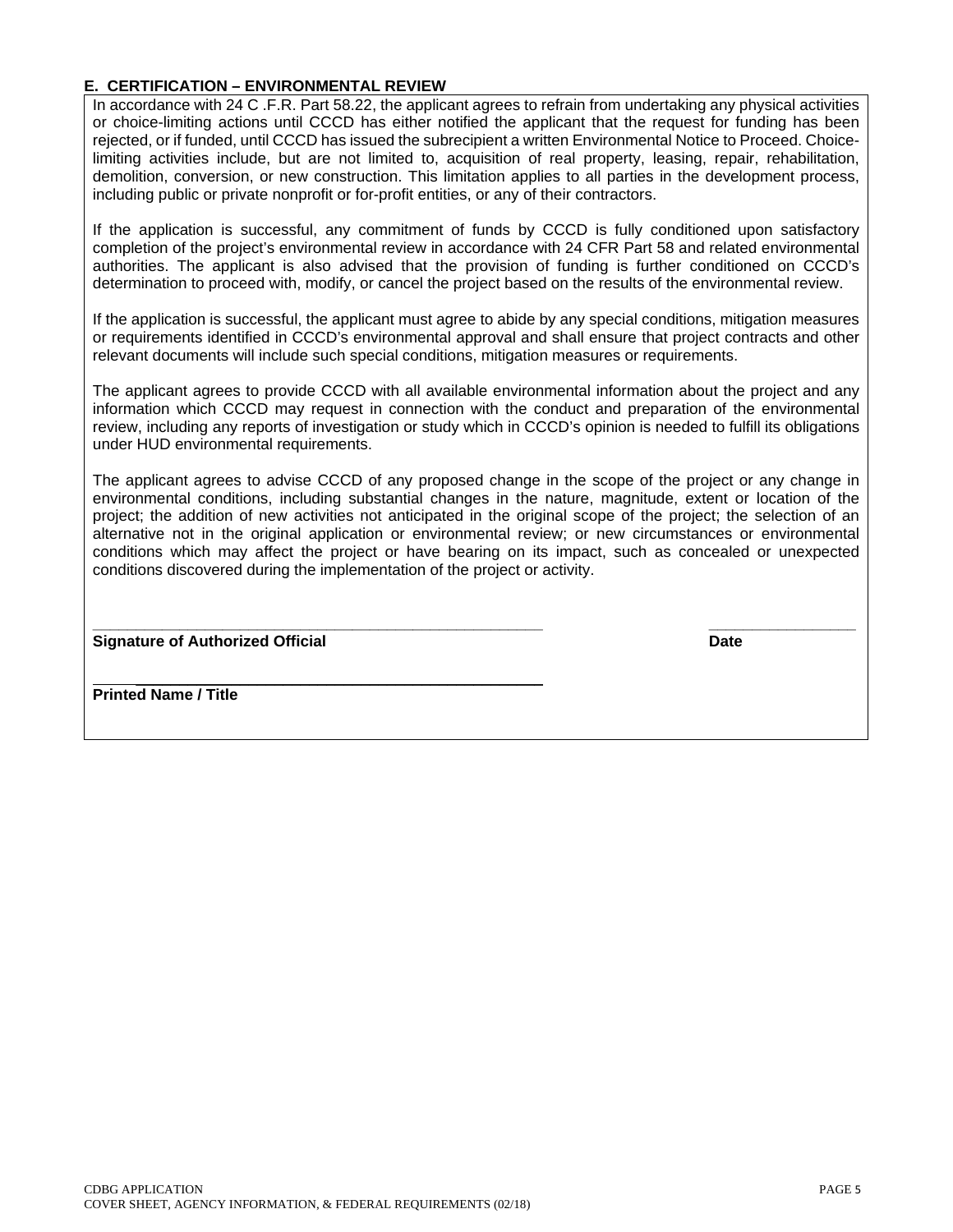#### **E. CERTIFICATION – ENVIRONMENTAL REVIEW**

In accordance with 24 C .F.R. Part 58.22, the applicant agrees to refrain from undertaking any physical activities or choice-limiting actions until CCCD has either notified the applicant that the request for funding has been rejected, or if funded, until CCCD has issued the subrecipient a written Environmental Notice to Proceed. Choicelimiting activities include, but are not limited to, acquisition of real property, leasing, repair, rehabilitation, demolition, conversion, or new construction. This limitation applies to all parties in the development process, including public or private nonprofit or for-profit entities, or any of their contractors.

If the application is successful, any commitment of funds by CCCD is fully conditioned upon satisfactory completion of the project's environmental review in accordance with 24 CFR Part 58 and related environmental authorities. The applicant is also advised that the provision of funding is further conditioned on CCCD's determination to proceed with, modify, or cancel the project based on the results of the environmental review.

If the application is successful, the applicant must agree to abide by any special conditions, mitigation measures or requirements identified in CCCD's environmental approval and shall ensure that project contracts and other relevant documents will include such special conditions, mitigation measures or requirements.

The applicant agrees to provide CCCD with all available environmental information about the project and any information which CCCD may request in connection with the conduct and preparation of the environmental review, including any reports of investigation or study which in CCCD's opinion is needed to fulfill its obligations under HUD environmental requirements.

The applicant agrees to advise CCCD of any proposed change in the scope of the project or any change in environmental conditions, including substantial changes in the nature, magnitude, extent or location of the project; the addition of new activities not anticipated in the original scope of the project; the selection of an alternative not in the original application or environmental review; or new circumstances or environmental conditions which may affect the project or have bearing on its impact, such as concealed or unexpected conditions discovered during the implementation of the project or activity.

**\_\_\_\_\_\_\_\_\_\_\_\_\_\_\_\_\_\_\_\_\_\_\_\_\_\_\_\_\_\_\_\_\_\_\_\_\_\_\_\_\_\_\_\_\_\_\_\_\_\_\_\_ \_\_\_\_\_\_\_\_\_\_\_\_\_\_\_\_\_ Signature of Authorized Official Date Authorized Official Date Authorized Date Authorized Official Date Authorized Official Date Authorized Official Date Authorized Official Date Authorized Official Date Authorized Offici** 

 $\overline{\phantom{a}}$  ,  $\overline{\phantom{a}}$  ,  $\overline{\phantom{a}}$  ,  $\overline{\phantom{a}}$  ,  $\overline{\phantom{a}}$  ,  $\overline{\phantom{a}}$  ,  $\overline{\phantom{a}}$  ,  $\overline{\phantom{a}}$  ,  $\overline{\phantom{a}}$  ,  $\overline{\phantom{a}}$  ,  $\overline{\phantom{a}}$  ,  $\overline{\phantom{a}}$  ,  $\overline{\phantom{a}}$  ,  $\overline{\phantom{a}}$  ,  $\overline{\phantom{a}}$  ,  $\overline{\phantom{a}}$ **Printed Name / Title**